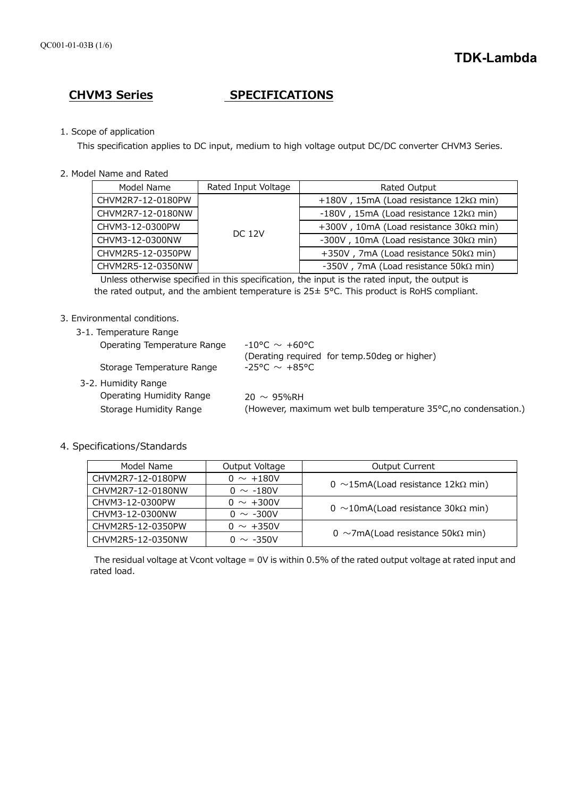# **CHVM3 Series SPECIFICATIONS**

# 1. Scope of application

This specification applies to DC input, medium to high voltage output DC/DC converter CHVM3 Series.

2. Model Name and Rated

| Model Name        | Rated Input Voltage | Rated Output                                      |
|-------------------|---------------------|---------------------------------------------------|
| CHVM2R7-12-0180PW | <b>DC 12V</b>       | +180V, 15mA (Load resistance 12kΩ min)            |
| CHVM2R7-12-0180NW |                     | $-180V$ , 15mA (Load resistance 12k $\Omega$ min) |
| CHVM3-12-0300PW   |                     | +300V, 10mA (Load resistance $30k\Omega$ min)     |
| CHVM3-12-0300NW   |                     | -300V, 10mA (Load resistance 30kΩ min)            |
| CHVM2R5-12-0350PW |                     | +350V, 7mA (Load resistance 50k $\Omega$ min)     |
| CHVM2R5-12-0350NW |                     | -350V, 7mA (Load resistance 50 $k\Omega$ min)     |

 Unless otherwise specified in this specification, the input is the rated input, the output is the rated output, and the ambient temperature is 25± 5°C. This product is RoHS compliant.

# 3. Environmental conditions.

3-1. Temperature Range

| Operating Temperature Range                        | $-10^{\circ}$ C $\sim +60^{\circ}$ C<br>(Derating required for temp.50deg or higher) |
|----------------------------------------------------|--------------------------------------------------------------------------------------|
| Storage Temperature Range                          | $-25^{\circ}$ C $\sim$ $+85^{\circ}$ C                                               |
| 3-2. Humidity Range                                |                                                                                      |
| Operating Humidity Range<br>Storage Humidity Range | $20 \sim 95\%$ RH<br>(However, maximum wet bulb temperature 35°C, no condensation.)  |
|                                                    |                                                                                      |

# 4. Specifications/Standards

| Model Name        | Output Voltage | <b>Output Current</b>                          |
|-------------------|----------------|------------------------------------------------|
| CHVM2R7-12-0180PW | $0 \sim +180V$ |                                                |
| CHVM2R7-12-0180NW | $0 \sim -180V$ | 0 ~15mA(Load resistance 12k $\Omega$ min)      |
| CHVM3-12-0300PW   | $0 \sim +300V$ |                                                |
| CHVM3-12-0300NW   | $0 \sim -300V$ | 0 ~10mA(Load resistance 30k $\Omega$ min)      |
| CHVM2R5-12-0350PW | $0 \sim +350V$ |                                                |
| CHVM2R5-12-0350NW | $0 \sim -350V$ | 0 $\sim$ 7mA(Load resistance 50k $\Omega$ min) |

The residual voltage at Vcont voltage = 0V is within 0.5% of the rated output voltage at rated input and rated load.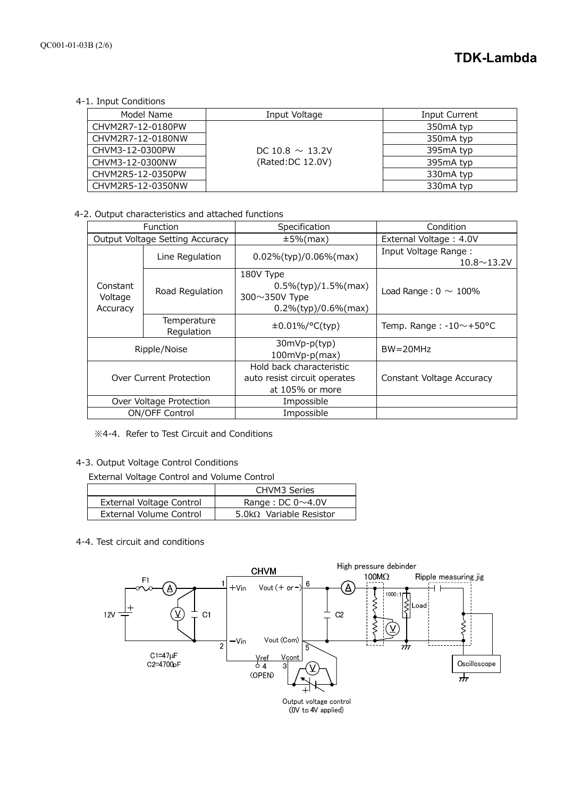4-1. Input Conditions

| Model Name        | Input Voltage        | Input Current          |
|-------------------|----------------------|------------------------|
| CHVM2R7-12-0180PW |                      | 350 <sub>m</sub> A typ |
| CHVM2R7-12-0180NW |                      | 350 <sub>m</sub> A typ |
| CHVM3-12-0300PW   | DC 10.8 $\sim$ 13.2V | 395mA typ              |
| CHVM3-12-0300NW   | (Rated:DC 12.0V)     | 395mA typ              |
| CHVM2R5-12-0350PW |                      | 330 <sub>m</sub> A typ |
| CHVM2R5-12-0350NW |                      | 330mA typ              |

## 4-2. Output characteristics and attached functions

| Function                        |                           | Specification                                                                    | Condition                                  |
|---------------------------------|---------------------------|----------------------------------------------------------------------------------|--------------------------------------------|
| Output Voltage Setting Accuracy |                           | $±5\%$ (max)                                                                     | External Voltage: 4.0V                     |
|                                 | Line Regulation           | $0.02\%$ (typ)/0.06%(max)                                                        | Input Voltage Range:<br>$10.8 \sim 13.2$ V |
| Constant<br>Voltage<br>Accuracy | Road Regulation           | 180V Type<br>$0.5\%$ (typ)/1.5%(max)<br>300~350V Type<br>$0.2\%$ (typ)/0.6%(max) | Load Range: $0 \sim 100\%$                 |
|                                 | Temperature<br>Regulation | $\pm 0.01\%/°C(typ)$                                                             | Temp. Range: $-10$ $\sim$ +50 °C           |
| Ripple/Noise                    |                           | 30mVp-p(typ)<br>100mVp-p(max)                                                    | $BW = 20MHz$                               |
| Over Current Protection         |                           | Hold back characteristic<br>auto resist circuit operates<br>at 105% or more      | Constant Voltage Accuracy                  |
| Over Voltage Protection         |                           | Impossible                                                                       |                                            |
| ON/OFF Control                  |                           | Impossible                                                                       |                                            |

※4-4. Refer to Test Circuit and Conditions

4-3. Output Voltage Control Conditions

External Voltage Control and Volume Control

|                          | <b>CHVM3 Series</b>             |
|--------------------------|---------------------------------|
| External Voltage Control | Range : DC $0 \sim 4.0$ V       |
| External Volume Control  | 5.0k $\Omega$ Variable Resistor |

4-4. Test circuit and conditions

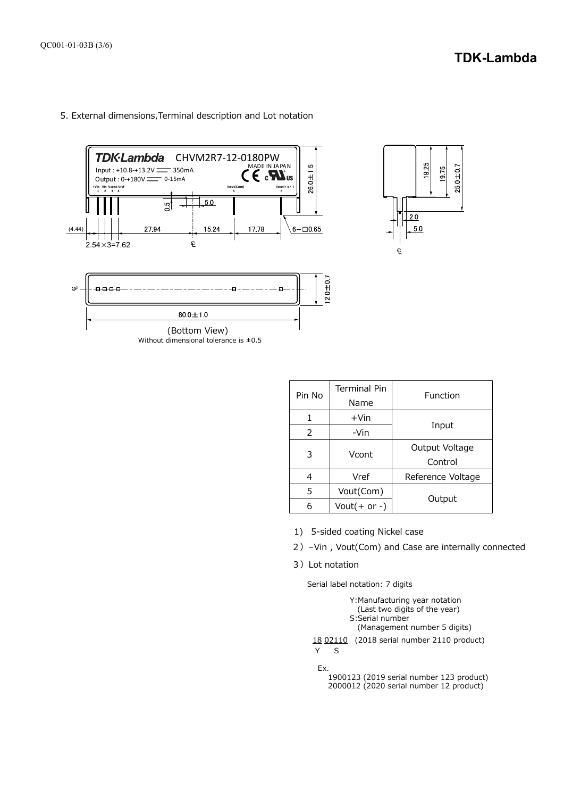



| Pin No | <b>Terminal Pin</b><br>Name | Function                  |
|--------|-----------------------------|---------------------------|
|        | $+V$ in                     |                           |
| 2      | -Vin                        | Input                     |
| 3      | Vcont                       | Output Voltage<br>Control |
| 4      | Vref                        | Reference Voltage         |
| 5      | Vout(Com)                   |                           |
|        | Vout $(+$ or -)             | Output                    |

1925

 $20$ 

 $\mathbb{C}$ 

 $50$ 

1975  $25.0 \pm 0.7$ 

- 1) 5-sided coating Nickel case
- 2)–Vin , Vout(Com) and Case are internally connected
- 3)Lot notation

Serial label notation: 7 digits



2000012 (2020 serial number 12 product)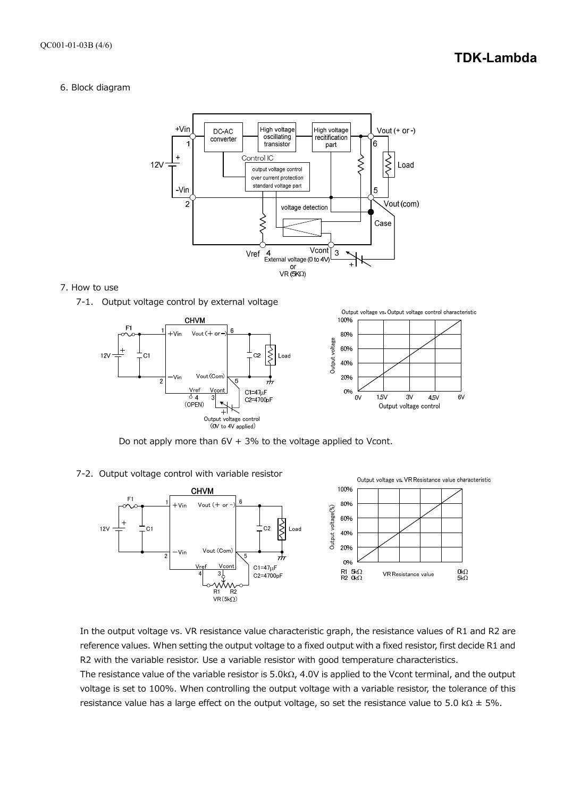# **TDK-Lambda**

 $6V$ 

# 6. Block diagram



#### 7. How to use





Do not apply more than  $6V + 3%$  to the voltage applied to Vcont.

#### 7-2. Output voltage control with variable resistor



In the output voltage vs. VR resistance value characteristic graph, the resistance values of R1 and R2 are reference values. When setting the output voltage to a fixed output with a fixed resistor, first decide R1 and R2 with the variable resistor. Use a variable resistor with good temperature characteristics.

The resistance value of the variable resistor is  $5.0k\Omega$ , 4.0V is applied to the Vcont terminal, and the output voltage is set to 100%. When controlling the output voltage with a variable resistor, the tolerance of this resistance value has a large effect on the output voltage, so set the resistance value to 5.0 k $\Omega$  ± 5%.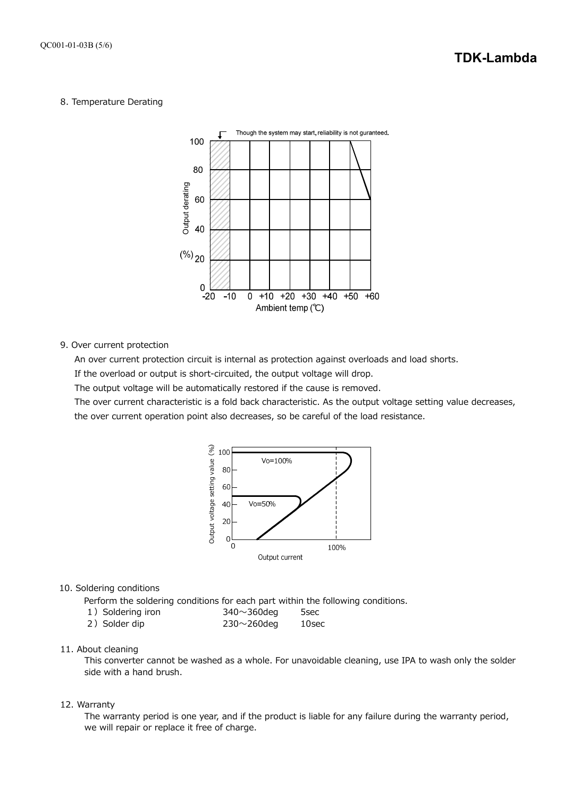#### 8. Temperature Derating



9. Over current protection

An over current protection circuit is internal as protection against overloads and load shorts.

If the overload or output is short-circuited, the output voltage will drop.

The output voltage will be automatically restored if the cause is removed.

The over current characteristic is a fold back characteristic. As the output voltage setting value decreases,

the over current operation point also decreases, so be careful of the load resistance.



### 10. Soldering conditions

Perform the soldering conditions for each part within the following conditions.

- 1) Soldering iron 340~360deg 5sec
- 2) Solder dip 230~260deg 10sec

# 11. About cleaning

This converter cannot be washed as a whole. For unavoidable cleaning, use IPA to wash only the solder side with a hand brush.

#### 12. Warranty

The warranty period is one year, and if the product is liable for any failure during the warranty period, we will repair or replace it free of charge.